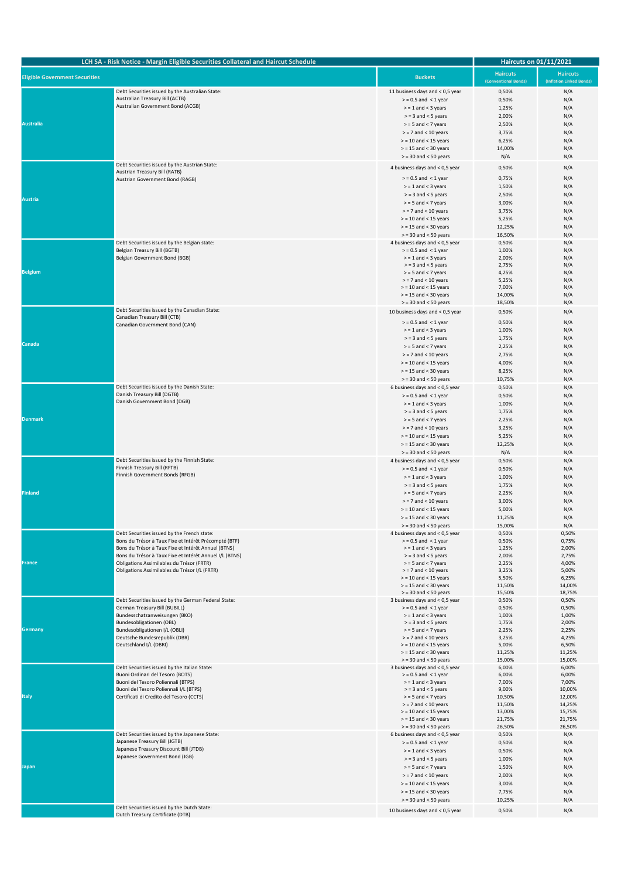| LCH SA - Risk Notice - Margin Eligible Securities Collateral and Haircut Schedule |                                                                                                                                                                                                                                                                                                                      | <b>Haircuts on 01/11/2021</b>                                                                                                                                                                                                                   |                                                                                    |                                                                                     |
|-----------------------------------------------------------------------------------|----------------------------------------------------------------------------------------------------------------------------------------------------------------------------------------------------------------------------------------------------------------------------------------------------------------------|-------------------------------------------------------------------------------------------------------------------------------------------------------------------------------------------------------------------------------------------------|------------------------------------------------------------------------------------|-------------------------------------------------------------------------------------|
| <b>Eligible Government Securities</b>                                             |                                                                                                                                                                                                                                                                                                                      | <b>Buckets</b>                                                                                                                                                                                                                                  | <b>Haircuts</b><br>(Conventional Bonds)                                            | <b>Haircuts</b><br>(Inflation Linked Bonds)                                         |
| <b>Australia</b>                                                                  | Debt Securities issued by the Australian State:<br>Australian Treasury Bill (ACTB)<br>Australian Government Bond (ACGB)                                                                                                                                                                                              | 11 business days and < 0,5 year<br>$>$ = 0.5 and < 1 year<br>$>$ = 1 and < 3 years<br>$>$ = 3 and < 5 years<br>$>$ = 5 and < 7 years<br>$>$ = 7 and < 10 years<br>$>$ = 10 and < 15 years<br>$>$ = 15 and < 30 years<br>$>$ = 30 and < 50 years | 0,50%<br>0,50%<br>1,25%<br>2,00%<br>2,50%<br>3,75%<br>6,25%<br>14,00%<br>N/A       | N/A<br>N/A<br>N/A<br>N/A<br>N/A<br>N/A<br>N/A<br>N/A<br>N/A                         |
| Austria                                                                           | Debt Securities issued by the Austrian State:<br>Austrian Treasury Bill (RATB)<br>Austrian Government Bond (RAGB)                                                                                                                                                                                                    | 4 business days and < 0,5 year<br>$>$ = 0.5 and < 1 year<br>$>$ = 1 and < 3 years<br>$>$ = 3 and < 5 years<br>$>$ = 5 and < 7 years<br>$>$ = 7 and < 10 years<br>$>$ = 10 and < 15 years<br>$>$ = 15 and < 30 years<br>$>$ = 30 and < 50 years  | 0,50%<br>0,75%<br>1,50%<br>2,50%<br>3,00%<br>3,75%<br>5,25%<br>12,25%<br>16,50%    | N/A<br>N/A<br>N/A<br>N/A<br>N/A<br>N/A<br>N/A<br>N/A<br>N/A                         |
| <b>Belgium</b>                                                                    | Debt Securities issued by the Belgian state:<br>Belgian Treasury Bill (BGTB)<br>Belgian Government Bond (BGB)                                                                                                                                                                                                        | 4 business days and < 0,5 year<br>$>$ = 0.5 and < 1 year<br>$>$ = 1 and < 3 years<br>$>$ = 3 and < 5 years<br>$>$ = 5 and < 7 years<br>$>$ = 7 and < 10 years<br>$>$ = 10 and < 15 years<br>$>$ = 15 and < 30 years<br>$>$ = 30 and < 50 years  | 0,50%<br>1,00%<br>2,00%<br>2,75%<br>4,25%<br>5,25%<br>7,00%<br>14,00%<br>18,50%    | N/A<br>N/A<br>N/A<br>N/A<br>N/A<br>N/A<br>N/A<br>N/A<br>N/A                         |
| Canada                                                                            | Debt Securities issued by the Canadian State:<br>Canadian Treasury Bill (CTB)<br>Canadian Government Bond (CAN)                                                                                                                                                                                                      | 10 business days and < 0,5 year<br>$>$ = 0.5 and < 1 year<br>$>$ = 1 and < 3 years<br>$>$ = 3 and < 5 years<br>$>$ = 5 and < 7 years<br>$>$ = 7 and < 10 years<br>$>$ = 10 and < 15 years<br>$>$ = 15 and < 30 years<br>$>$ = 30 and < 50 years | 0,50%<br>0,50%<br>1,00%<br>1,75%<br>2,25%<br>2,75%<br>4,00%<br>8,25%<br>10,75%     | N/A<br>N/A<br>N/A<br>N/A<br>N/A<br>N/A<br>N/A<br>N/A<br>N/A                         |
| <b>Denmark</b>                                                                    | Debt Securities issued by the Danish State:<br>Danish Treasury Bill (DGTB)<br>Danish Government Bond (DGB)                                                                                                                                                                                                           | 6 business days and < 0,5 year<br>$>$ = 0.5 and < 1 year<br>$>$ = 1 and < 3 years<br>$>$ = 3 and < 5 years<br>$>$ = 5 and < 7 years<br>$>$ = 7 and < 10 years<br>$>$ = 10 and < 15 years<br>$>$ = 15 and < 30 years<br>$>$ = 30 and < 50 years  | 0,50%<br>0,50%<br>1,00%<br>1,75%<br>2,25%<br>3,25%<br>5,25%<br>12,25%<br>N/A       | N/A<br>N/A<br>N/A<br>N/A<br>N/A<br>N/A<br>N/A<br>N/A<br>N/A                         |
| Finland                                                                           | Debt Securities issued by the Finnish State:<br>Finnish Treasury Bill (RFTB)<br>Finnish Government Bonds (RFGB)                                                                                                                                                                                                      | 4 business days and < 0,5 year<br>$>$ = 0.5 and < 1 year<br>$>$ = 1 and < 3 years<br>$>$ = 3 and < 5 years<br>$>$ = 5 and < 7 years<br>$>$ = 7 and < 10 years<br>$>$ = 10 and < 15 years<br>$>$ = 15 and < 30 years<br>$>$ = 30 and < 50 years  | 0,50%<br>0,50%<br>1,00%<br>1,75%<br>2,25%<br>3,00%<br>5,00%<br>11,25%<br>15,00%    | N/A<br>N/A<br>N/A<br>N/A<br>N/A<br>N/A<br>N/A<br>N/A<br>N/A                         |
| France                                                                            | Debt Securities issued by the French state:<br>Bons du Trésor à Taux Fixe et Intérêt Précompté (BTF)<br>Bons du Trésor à Taux Fixe et Intérêt Annuel (BTNS)<br>Bons du Trésor à Taux Fixe et Intérêt Annuel I/L (BTNS)<br>Obligations Assimilables du Trésor (FRTR)<br>Obligations Assimilables du Trésor I/L (FRTR) | 4 business days and < 0,5 year<br>$>$ = 0.5 and < 1 year<br>$>$ = 1 and < 3 years<br>$>$ = 3 and < 5 years<br>$>$ = 5 and < 7 years<br>$>$ = 7 and < 10 years<br>$>$ = 10 and < 15 years<br>$>$ = 15 and < 30 years<br>$>$ = 30 and < 50 years  | 0,50%<br>0,50%<br>1,25%<br>2,00%<br>2,25%<br>3,25%<br>5,50%<br>11,50%<br>15,50%    | 0,50%<br>0,75%<br>2,00%<br>2,75%<br>4,00%<br>5,00%<br>6,25%<br>14,00%<br>18,75%     |
| Germany                                                                           | Debt Securities issued by the German Federal State:<br>German Treasury Bill (BUBILL)<br>Bundesschatzanweisungen (BKO)<br>Bundesobligationen (OBL)<br>Bundesobligationen I/L (OBLI)<br>Deutsche Bundesrepublik (DBR)<br>Deutschland I/L (DBRI)                                                                        | 3 business days and < 0,5 year<br>$>$ = 0.5 and < 1 year<br>$>$ = 1 and < 3 years<br>$>$ = 3 and < 5 years<br>$>$ = 5 and < 7 years<br>$>$ = 7 and < 10 years<br>$>$ = 10 and < 15 years<br>$>$ = 15 and < 30 years<br>$>$ = 30 and < 50 years  | 0,50%<br>0,50%<br>1,00%<br>1,75%<br>2,25%<br>3,25%<br>5,00%<br>11,25%<br>15,00%    | 0,50%<br>0,50%<br>1,00%<br>2,00%<br>2,25%<br>4,25%<br>6,50%<br>11,25%<br>15,00%     |
| <b>Italy</b>                                                                      | Debt Securities issued by the Italian State:<br>Buoni Ordinari del Tesoro (BOTS)<br>Buoni del Tesoro Poliennali (BTPS)<br>Buoni del Tesoro Poliennali I/L (BTPS)<br>Certificati di Credito del Tesoro (CCTS)                                                                                                         | 3 business days and < 0,5 year<br>$>$ = 0.5 and < 1 year<br>$>$ = 1 and < 3 years<br>$>$ = 3 and < 5 years<br>$>$ = 5 and < 7 years<br>$>$ = 7 and < 10 years<br>$>$ = 10 and < 15 years<br>$>$ = 15 and < 30 years<br>$>$ = 30 and < 50 years  | 6,00%<br>6,00%<br>7,00%<br>9,00%<br>10,50%<br>11,50%<br>13,00%<br>21,75%<br>26,50% | 6,00%<br>6,00%<br>7,00%<br>10,00%<br>12,00%<br>14,25%<br>15,75%<br>21,75%<br>26,50% |
| Japan                                                                             | Debt Securities issued by the Japanese State:<br>Japanese Treasury Bill (JGTB)<br>Japanese Treasury Discount Bill (JTDB)<br>Japanese Government Bond (JGB)                                                                                                                                                           | 6 business days and < 0,5 year<br>$>$ = 0.5 and < 1 year<br>$>$ = 1 and < 3 years<br>$>$ = 3 and < 5 years<br>$>$ = 5 and < 7 years<br>$>$ = 7 and < 10 years<br>$>$ = 10 and < 15 years<br>$>$ = 15 and < 30 years<br>$>$ = 30 and < 50 years  | 0,50%<br>0,50%<br>0,50%<br>1,00%<br>1,50%<br>2,00%<br>3,00%<br>7,75%<br>10,25%     | N/A<br>N/A<br>N/A<br>N/A<br>N/A<br>N/A<br>N/A<br>N/A<br>N/A                         |
|                                                                                   | Debt Securities issued by the Dutch State:<br>Dutch Treasury Certificate (DTB)                                                                                                                                                                                                                                       | 10 business days and < 0,5 year                                                                                                                                                                                                                 | 0,50%                                                                              | N/A                                                                                 |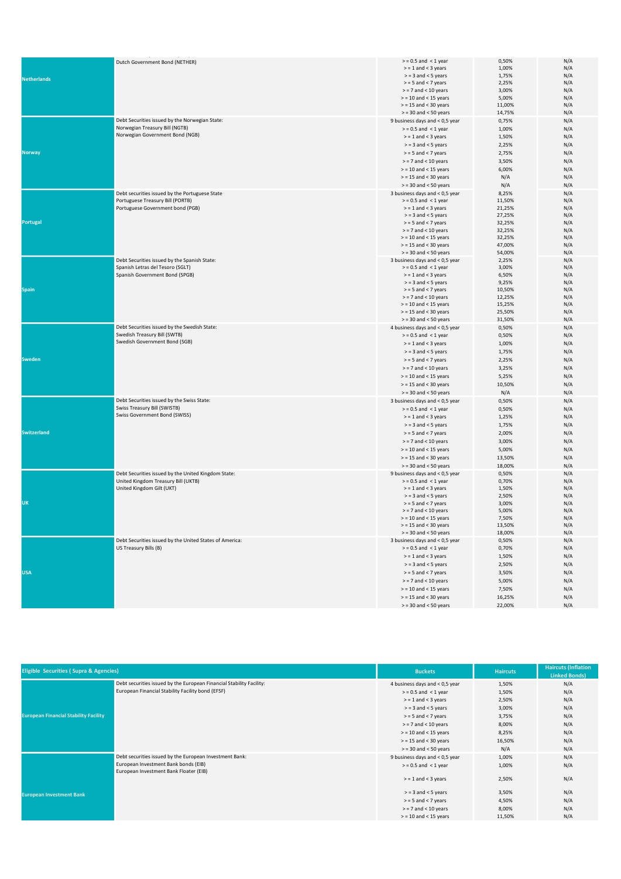|                    | Dutch Government Bond (NETHER)                          | $>$ = 0.5 and < 1 year         | 0,50%  | N/A |
|--------------------|---------------------------------------------------------|--------------------------------|--------|-----|
| <b>Netherlands</b> |                                                         | $>$ = 1 and < 3 years          | 1,00%  | N/A |
|                    |                                                         | $>$ = 3 and < 5 years          | 1,75%  | N/A |
|                    |                                                         |                                |        |     |
|                    |                                                         | $>$ = 5 and < 7 years          | 2,25%  | N/A |
|                    |                                                         | $>$ = 7 and < 10 years         | 3,00%  | N/A |
|                    |                                                         | $>$ = 10 and < 15 years        | 5,00%  | N/A |
|                    |                                                         | $>$ = 15 and < 30 years        | 11,00% | N/A |
|                    |                                                         | $>$ = 30 and < 50 years        | 14,75% | N/A |
|                    | Debt Securities issued by the Norwegian State:          | 9 business days and < 0,5 year | 0,75%  | N/A |
|                    | Norwegian Treasury Bill (NGTB)                          |                                |        |     |
|                    |                                                         | $>$ = 0.5 and < 1 year         | 1,00%  | N/A |
|                    | Norwegian Government Bond (NGB)                         | $>$ = 1 and < 3 years          | 1,50%  | N/A |
|                    |                                                         | $>$ = 3 and < 5 years          | 2,25%  | N/A |
| <b>Norway</b>      |                                                         | $>$ = 5 and < 7 years          | 2,75%  | N/A |
|                    |                                                         |                                |        |     |
|                    |                                                         | $>$ = 7 and < 10 years         | 3,50%  | N/A |
|                    |                                                         | $>$ = 10 and < 15 years        | 6,00%  | N/A |
|                    |                                                         | $>$ = 15 and < 30 years        | N/A    | N/A |
|                    |                                                         | $>$ = 30 and < 50 years        |        | N/A |
|                    |                                                         |                                | N/A    |     |
|                    | Debt securities issued by the Portuguese State          | 3 business days and < 0,5 year | 8,25%  | N/A |
|                    | Portuguese Treasury Bill (PORTB)                        | $>$ = 0.5 and < 1 year         | 11,50% | N/A |
|                    | Portuguese Government bond (PGB)                        | $>$ = 1 and < 3 years          | 21,25% | N/A |
|                    |                                                         | $>$ = 3 and < 5 years          | 27,25% | N/A |
| <b>Portugal</b>    |                                                         | $>$ = 5 and < 7 years          | 32,25% | N/A |
|                    |                                                         | $>$ = 7 and < 10 years         | 32,25% | N/A |
|                    |                                                         |                                |        |     |
|                    |                                                         | $>$ = 10 and < 15 years        | 32,25% | N/A |
|                    |                                                         | $>$ = 15 and < 30 years        | 47,00% | N/A |
|                    |                                                         | $>$ = 30 and < 50 years        | 54,00% | N/A |
|                    | Debt Securities issued by the Spanish State:            | 3 business days and < 0,5 year | 2,25%  | N/A |
|                    | Spanish Letras del Tesoro (SGLT)                        | $>$ = 0.5 and < 1 year         | 3,00%  | N/A |
|                    | Spanish Government Bond (SPGB)                          | $>$ = 1 and < 3 years          | 6,50%  | N/A |
|                    |                                                         |                                |        |     |
|                    |                                                         | $>$ = 3 and < 5 years          | 9,25%  | N/A |
| <b>Spain</b>       |                                                         | $>$ = 5 and < 7 years          | 10,50% | N/A |
|                    |                                                         | $>= 7$ and $< 10$ years        | 12,25% | N/A |
|                    |                                                         | $>$ = 10 and < 15 years        | 15,25% | N/A |
|                    |                                                         | $>$ = 15 and < 30 years        | 25,50% | N/A |
|                    |                                                         | $>$ = 30 and < 50 years        | 31,50% | N/A |
|                    |                                                         |                                |        |     |
|                    | Debt Securities issued by the Swedish State:            | 4 business days and < 0,5 year | 0,50%  | N/A |
|                    | Swedish Treasury Bill (SWTB)                            | $>$ = 0.5 and < 1 year         | 0,50%  | N/A |
|                    | Swedish Government Bond (SGB)                           | $>$ = 1 and < 3 years          | 1,00%  | N/A |
|                    |                                                         | $>$ = 3 and < 5 years          | 1,75%  | N/A |
|                    |                                                         |                                |        |     |
| Sweden             |                                                         | $>$ = 5 and < 7 years          | 2,25%  | N/A |
|                    |                                                         | $>$ = 7 and < 10 years         | 3,25%  | N/A |
|                    |                                                         | $>$ = 10 and < 15 years        | 5,25%  | N/A |
|                    |                                                         | $>$ = 15 and < 30 years        | 10,50% | N/A |
|                    |                                                         | $>$ = 30 and < 50 years        |        | N/A |
|                    |                                                         |                                | N/A    |     |
|                    | Debt Securities issued by the Swiss State:              | 3 business days and < 0,5 year | 0,50%  | N/A |
|                    | Swiss Treasury Bill (SWISTB)                            | $>$ = 0.5 and < 1 year         | 0,50%  | N/A |
|                    | Swiss Government Bond (SWISS)                           | $>$ = 1 and < 3 years          | 1,25%  | N/A |
|                    |                                                         | $>$ = 3 and < 5 years          | 1,75%  | N/A |
|                    |                                                         |                                |        |     |
| <b>Switzerland</b> |                                                         | $>$ = 5 and < 7 years          | 2,00%  | N/A |
|                    |                                                         | $>$ = 7 and < 10 years         | 3,00%  | N/A |
|                    |                                                         | $>$ = 10 and < 15 years        | 5,00%  | N/A |
|                    |                                                         | $>$ = 15 and < 30 years        | 13,50% | N/A |
|                    |                                                         |                                |        |     |
|                    |                                                         | $>$ = 30 and < 50 years        | 18,00% | N/A |
|                    | Debt Securities issued by the United Kingdom State:     | 9 business days and < 0,5 year | 0,50%  | N/A |
|                    | United Kingdom Treasury Bill (UKTB)                     | $>$ = 0.5 and < 1 year         | 0,70%  | N/A |
|                    | United Kingdom Gilt (UKT)                               | $>$ = 1 and < 3 years          | 1,50%  | N/A |
|                    |                                                         | $>$ = 3 and < 5 years          | 2,50%  | N/A |
| UK                 |                                                         | $>$ = 5 and < 7 years          | 3,00%  | N/A |
|                    |                                                         | $>$ = 7 and < 10 years         | 5,00%  | N/A |
|                    |                                                         |                                |        |     |
|                    |                                                         | $>$ = 10 and < 15 years        | 7,50%  | N/A |
|                    |                                                         | > = 15 and < 30 years          | 13,50% | N/A |
|                    |                                                         | $>$ = 30 and < 50 years        | 18,00% | N/A |
|                    | Debt Securities issued by the United States of America: | 3 business days and < 0,5 year | 0,50%  | N/A |
|                    | US Treasury Bills (B)                                   | $>$ = 0.5 and < 1 year         | 0,70%  | N/A |
|                    |                                                         |                                |        |     |
|                    |                                                         | $>$ = 1 and < 3 years          | 1,50%  | N/A |
|                    |                                                         | $>$ = 3 and < 5 years          | 2,50%  | N/A |
| <b>USA</b>         |                                                         | $>$ = 5 and < 7 years          | 3,50%  | N/A |
|                    |                                                         | $>$ = 7 and < 10 years         | 5,00%  | N/A |
|                    |                                                         |                                |        |     |
|                    |                                                         | $>$ = 10 and < 15 years        | 7,50%  | N/A |
|                    |                                                         | $>$ = 15 and < 30 years        | 16,25% | N/A |
|                    |                                                         | $>$ = 30 and < 50 years        | 22,00% | N/A |
|                    |                                                         |                                |        |     |

| <b>Eligible Securities (Supra &amp; Agencies)</b> |                                                                                | <b>Buckets</b>                 | <b>Haircuts</b> | <b>Haircuts (Inflation</b><br><b>Linked Bonds)</b> |
|---------------------------------------------------|--------------------------------------------------------------------------------|--------------------------------|-----------------|----------------------------------------------------|
|                                                   | Debt securities issued by the European Financial Stability Facility:           | 4 business days and < 0,5 year | 1,50%           | N/A                                                |
|                                                   | European Financial Stability Facility bond (EFSF)                              | $>$ = 0.5 and < 1 year         | 1,50%           | N/A                                                |
|                                                   |                                                                                | $>$ = 1 and < 3 years          | 2,50%           | N/A                                                |
|                                                   |                                                                                | $>$ = 3 and < 5 years          | 3,00%           | N/A                                                |
| <b>European Financial Stability Facility</b>      |                                                                                | $>$ = 5 and < 7 years          | 3,75%           | N/A                                                |
|                                                   |                                                                                | $>$ = 7 and < 10 years         | 8,00%           | N/A                                                |
|                                                   |                                                                                | $>$ = 10 and < 15 years        | 8,25%           | N/A                                                |
|                                                   |                                                                                | $>$ = 15 and < 30 years        | 16,50%          | N/A                                                |
|                                                   |                                                                                | $>$ = 30 and < 50 years        | N/A             | N/A                                                |
|                                                   | Debt securities issued by the European Investment Bank:                        | 9 business days and < 0,5 year | 1,00%           | N/A                                                |
|                                                   | European Investment Bank bonds (EIB)<br>European Investment Bank Floater (EIB) | $>$ = 0.5 and < 1 year         | 1,00%           | N/A                                                |
|                                                   |                                                                                | $>$ = 1 and < 3 years          | 2,50%           | N/A                                                |
| <b>European Investment Bank</b>                   |                                                                                | $>$ = 3 and < 5 years          | 3,50%           | N/A                                                |
|                                                   |                                                                                | $>$ = 5 and < 7 years          | 4,50%           | N/A                                                |
|                                                   |                                                                                | $>$ = 7 and < 10 years         | 8,00%           | N/A                                                |
|                                                   |                                                                                | $>$ = 10 and < 15 years        | 11,50%          | N/A                                                |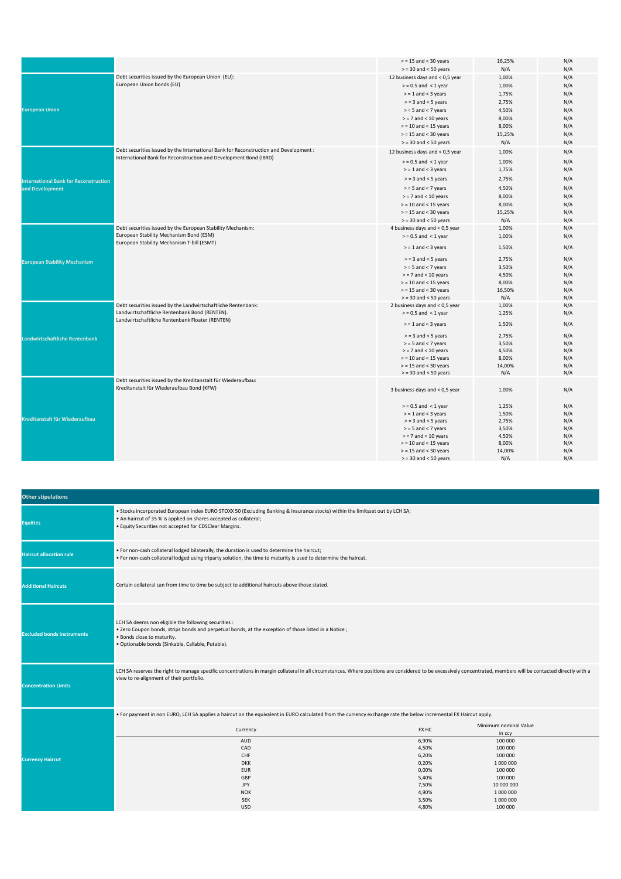|                                              |                                                                                                        | $>$ = 15 and < 30 years                        | 16,25%         | N/A        |
|----------------------------------------------|--------------------------------------------------------------------------------------------------------|------------------------------------------------|----------------|------------|
|                                              |                                                                                                        | $>$ = 30 and < 50 years                        | N/A            | N/A        |
|                                              | Debt securities issued by the European Union (EU):                                                     | 12 business days and < 0,5 year                | 1,00%          | N/A        |
|                                              | European Union bonds (EU)                                                                              | $>$ = 0.5 and < 1 year                         | 1,00%          | N/A        |
|                                              |                                                                                                        | $>$ = 1 and < 3 years                          | 1,75%          | N/A        |
|                                              |                                                                                                        | $>$ = 3 and < 5 years                          | 2,75%          | N/A        |
| <b>European Union</b>                        |                                                                                                        | $>$ = 5 and < 7 years                          | 4,50%          | N/A        |
|                                              |                                                                                                        | $>$ = 7 and < 10 years                         | 8,00%          | N/A        |
|                                              |                                                                                                        | $>$ = 10 and < 15 years                        | 8,00%          | N/A        |
|                                              |                                                                                                        | $>$ = 15 and < 30 years                        | 15,25%         | N/A        |
|                                              |                                                                                                        | $>$ = 30 and < 50 years                        | N/A            | N/A        |
|                                              | Debt securities issued by the International Bank for Reconstruction and Development :                  | 12 business days and < 0,5 year                | 1,00%          | N/A        |
|                                              | International Bank for Reconstruction and Development Bond (IBRD)                                      | $>$ = 0.5 and < 1 year                         | 1,00%          | N/A        |
|                                              |                                                                                                        | $>$ = 1 and < 3 years                          | 1,75%          | N/A        |
|                                              |                                                                                                        |                                                |                |            |
| <b>International Bank for Reconstruction</b> |                                                                                                        | $>$ = 3 and < 5 years                          | 2,75%          | N/A        |
| and Development                              |                                                                                                        | $>$ = 5 and < 7 years                          | 4,50%          | N/A        |
|                                              |                                                                                                        | $>$ = 7 and < 10 years                         | 8,00%          | N/A        |
|                                              |                                                                                                        | $>$ = 10 and < 15 years                        | 8,00%          | N/A        |
|                                              |                                                                                                        | $>$ = 15 and < 30 years                        | 15,25%         | N/A        |
|                                              |                                                                                                        | $>$ = 30 and < 50 years                        | N/A            | N/A        |
|                                              | Debt securities issued by the European Stability Mechanism:<br>European Stability Mechanism Bond (ESM) | 4 business days and < 0,5 year                 | 1,00%          | N/A        |
|                                              | European Stability Mechanism T-bill (ESMT)                                                             | $>$ = 0.5 and < 1 year                         | 1,00%          | N/A        |
|                                              |                                                                                                        | $>$ = 1 and < 3 years                          | 1,50%          | N/A        |
| <b>European Stability Mechanism</b>          |                                                                                                        | $>$ = 3 and < 5 years                          | 2,75%          | N/A        |
|                                              |                                                                                                        | $>$ = 5 and < 7 years                          | 3,50%          | N/A        |
|                                              |                                                                                                        | $>$ = 7 and < 10 years                         | 4,50%          | N/A        |
|                                              |                                                                                                        | $>$ = 10 and < 15 years                        | 8,00%          | N/A        |
|                                              |                                                                                                        | $>$ = 15 and < 30 years                        | 16,50%         | N/A        |
|                                              |                                                                                                        | $>$ = 30 and < 50 years                        | N/A            | N/A        |
|                                              | Debt securities issued by the Landwirtschaftliche Rentenbank:                                          | 2 business days and < 0,5 year                 | 1,00%          | N/A        |
| Landwirtschaftliche Rentenbank               | Landwirtschaftliche Rentenbank Bond (RENTEN).                                                          | $>$ = 0.5 and < 1 year                         | 1,25%          | N/A        |
|                                              | Landwirtschaftliche Rentenbank Floater (RENTEN)                                                        | $>$ = 1 and < 3 years                          | 1,50%          | N/A        |
|                                              |                                                                                                        | $>$ = 3 and < 5 years                          | 2,75%          | N/A        |
|                                              |                                                                                                        | $>$ = 5 and < 7 years                          | 3,50%          | N/A        |
|                                              |                                                                                                        | $>$ = 7 and < 10 years                         | 4,50%          | N/A        |
|                                              |                                                                                                        | $>$ = 10 and < 15 years                        | 8,00%          | N/A        |
|                                              |                                                                                                        | $>$ = 15 and < 30 years                        | 14,00%         | N/A        |
|                                              |                                                                                                        | $>$ = 30 and < 50 years                        | N/A            | N/A        |
| Kreditanstalt für Wiederaufbau               | Debt securities issued by the Kreditanstalt für Wiederaufbau:                                          |                                                |                |            |
|                                              | Kreditanstalt für Wiederaufbau Bond (KFW)                                                              | 3 business days and < 0,5 year                 | 1,00%          | N/A        |
|                                              |                                                                                                        |                                                |                |            |
|                                              |                                                                                                        | $>$ = 0.5 and < 1 year                         | 1,25%          | N/A        |
|                                              |                                                                                                        | $>$ = 1 and < 3 years                          | 1,50%          | N/A        |
|                                              |                                                                                                        | $>$ = 3 and < 5 years<br>$>$ = 5 and < 7 years | 2,75%<br>3,50% | N/A<br>N/A |
|                                              |                                                                                                        | $>$ = 7 and < 10 years                         | 4,50%          | N/A        |
|                                              |                                                                                                        | $>$ = 10 and < 15 years                        | 8,00%          | N/A        |
|                                              |                                                                                                        | $>$ = 15 and < 30 years                        | 14,00%         | N/A        |
|                                              |                                                                                                        | $>$ = 30 and < 50 years                        | N/A            | N/A        |
|                                              |                                                                                                        |                                                |                |            |

| <b>Other stipulations</b>         |                                                                                                                                                                                                                                                              |                |                                 |  |
|-----------------------------------|--------------------------------------------------------------------------------------------------------------------------------------------------------------------------------------------------------------------------------------------------------------|----------------|---------------------------------|--|
| <b>Equities</b>                   | . Stocks incorporated European index EURO STOXX 50 (Excluding Banking & Insurance stocks) within the limitsset out by LCH SA;<br>. An haircut of 35 % is applied on shares accepted as collateral;<br>. Equity Securities not accepted for CDSClear Margins. |                |                                 |  |
| <b>Haircut allocation rule</b>    | . For non-cash collateral lodged bilaterally, the duration is used to determine the haircut;<br>. For non-cash collateral lodged using triparty solution, the time to maturity is used to determine the haircut.                                             |                |                                 |  |
| <b>Additional Haircuts</b>        | Certain collateral can from time to time be subject to additional haircuts above those stated.                                                                                                                                                               |                |                                 |  |
| <b>Excluded bonds instruments</b> | LCH SA deems non eligible the following securities :<br>. Zero Coupon bonds, strips bonds and perpetual bonds, at the exception of those listed in a Notice ;<br>. Bonds close to maturity.<br>· Optionable bonds (Sinkable, Callable, Putable).             |                |                                 |  |
| <b>Concentration Limits</b>       | LCH SA reserves the right to manage specific concentrations in margin collateral in all circumstances. Where positions are considered to be excessively concentrated, members will be contacted directly with a<br>view to re-alignment of their portfolio.  |                |                                 |  |
|                                   | . For payment in non EURO, LCH SA applies a haircut on the equivalent in EURO calculated from the currency exchange rate the below incremental FX Haircut apply.                                                                                             |                |                                 |  |
|                                   | Currency                                                                                                                                                                                                                                                     | FX HC          | Minimum nominal Value<br>in ccy |  |
|                                   | <b>AUD</b>                                                                                                                                                                                                                                                   | 6,90%          | 100 000                         |  |
| <b>Currency Haircut</b>           | CAD                                                                                                                                                                                                                                                          | 4,50%          | 100 000                         |  |
|                                   | CHF<br><b>DKK</b>                                                                                                                                                                                                                                            | 6,20%<br>0,20% | 100 000<br>1000000              |  |
|                                   | <b>EUR</b>                                                                                                                                                                                                                                                   | 0,00%          | 100 000                         |  |
|                                   | GBP                                                                                                                                                                                                                                                          | 5,40%          | 100 000                         |  |
|                                   | <b>JPY</b>                                                                                                                                                                                                                                                   | 7,50%          | 10 000 000                      |  |
|                                   | <b>NOK</b>                                                                                                                                                                                                                                                   | 4,90%          | 1000000                         |  |
|                                   | <b>SEK</b>                                                                                                                                                                                                                                                   | 3,50%          | 1000000                         |  |
|                                   | <b>USD</b>                                                                                                                                                                                                                                                   | 4,80%          | 100 000                         |  |